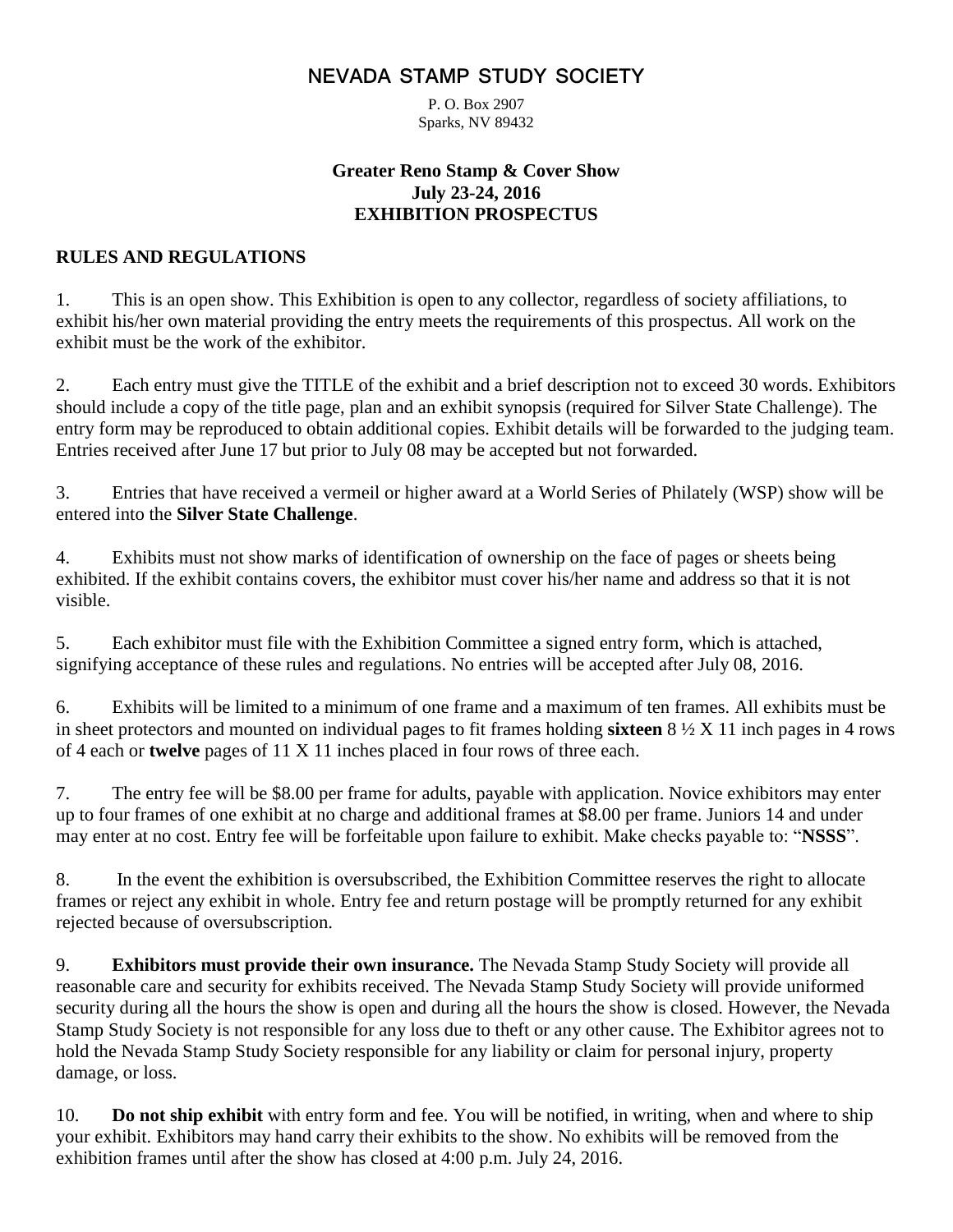# **NEVADA STAMP STUDY SOCIETY**

P. O. Box 2907 Sparks, NV 89432

### **Greater Reno Stamp & Cover Show July 23-24, 2016 EXHIBITION PROSPECTUS**

### **RULES AND REGULATIONS**

1. This is an open show. This Exhibition is open to any collector, regardless of society affiliations, to exhibit his/her own material providing the entry meets the requirements of this prospectus. All work on the exhibit must be the work of the exhibitor.

2. Each entry must give the TITLE of the exhibit and a brief description not to exceed 30 words. Exhibitors should include a copy of the title page, plan and an exhibit synopsis (required for Silver State Challenge). The entry form may be reproduced to obtain additional copies. Exhibit details will be forwarded to the judging team. Entries received after June 17 but prior to July 08 may be accepted but not forwarded.

3. Entries that have received a vermeil or higher award at a World Series of Philately (WSP) show will be entered into the **Silver State Challenge**.

4. Exhibits must not show marks of identification of ownership on the face of pages or sheets being exhibited. If the exhibit contains covers, the exhibitor must cover his/her name and address so that it is not visible.

5. Each exhibitor must file with the Exhibition Committee a signed entry form, which is attached, signifying acceptance of these rules and regulations. No entries will be accepted after July 08, 2016.

6. Exhibits will be limited to a minimum of one frame and a maximum of ten frames. All exhibits must be in sheet protectors and mounted on individual pages to fit frames holding **sixteen** 8 ½ X 11 inch pages in 4 rows of 4 each or **twelve** pages of 11 X 11 inches placed in four rows of three each.

7. The entry fee will be \$8.00 per frame for adults, payable with application. Novice exhibitors may enter up to four frames of one exhibit at no charge and additional frames at \$8.00 per frame. Juniors 14 and under may enter at no cost. Entry fee will be forfeitable upon failure to exhibit. Make checks payable to: "**NSSS**".

8. In the event the exhibition is oversubscribed, the Exhibition Committee reserves the right to allocate frames or reject any exhibit in whole. Entry fee and return postage will be promptly returned for any exhibit rejected because of oversubscription.

9. **Exhibitors must provide their own insurance.** The Nevada Stamp Study Society will provide all reasonable care and security for exhibits received. The Nevada Stamp Study Society will provide uniformed security during all the hours the show is open and during all the hours the show is closed. However, the Nevada Stamp Study Society is not responsible for any loss due to theft or any other cause. The Exhibitor agrees not to hold the Nevada Stamp Study Society responsible for any liability or claim for personal injury, property damage, or loss.

10. **Do not ship exhibit** with entry form and fee. You will be notified, in writing, when and where to ship your exhibit. Exhibitors may hand carry their exhibits to the show. No exhibits will be removed from the exhibition frames until after the show has closed at 4:00 p.m. July 24, 2016.